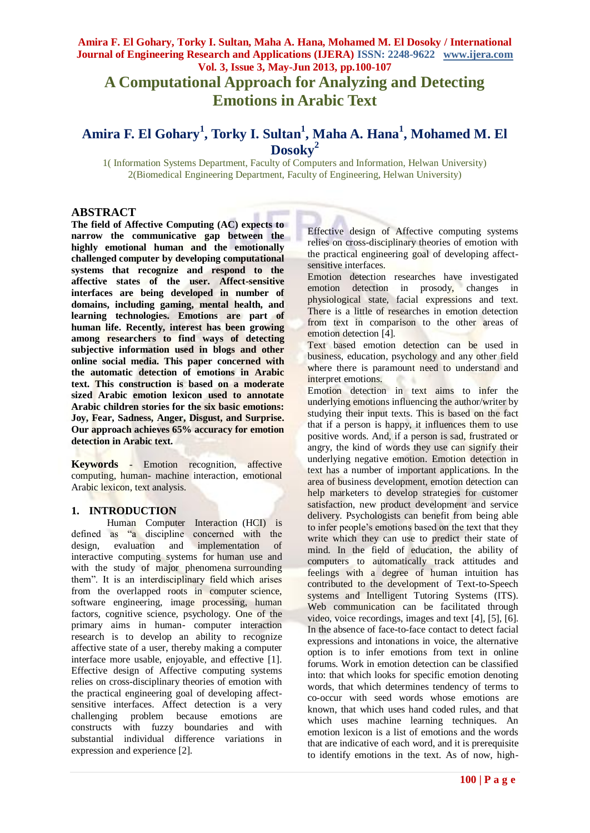# **A Computational Approach for Analyzing and Detecting Emotions in Arabic Text**

## **Amira F. El Gohary<sup>1</sup> , Torky I. Sultan<sup>1</sup> , Maha A. Hana<sup>1</sup> , Mohamed M. El Dosoky<sup>2</sup>**

1( Information Systems Department, Faculty of Computers and Information, Helwan University) 2(Biomedical Engineering Department, Faculty of Engineering, Helwan University)

## **ABSTRACT**

**The field of Affective Computing (AC) expects to narrow the communicative gap between the highly emotional human and the emotionally challenged computer by developing computational systems that recognize and respond to the affective states of the user. Affect-sensitive interfaces are being developed in number of domains, including gaming, mental health, and learning technologies. Emotions are part of human life. Recently, interest has been growing among researchers to find ways of detecting subjective information used in blogs and other online social media. This paper concerned with the automatic detection of emotions in Arabic text. This construction is based on a moderate sized Arabic emotion lexicon used to annotate Arabic children stories for the six basic emotions: Joy, Fear, Sadness, Anger, Disgust, and Surprise. Our approach achieves 65% accuracy for emotion detection in Arabic text.**

**Keywords** *-* Emotion recognition, affective computing, human- machine interaction, emotional Arabic lexicon, text analysis.

## **1. INTRODUCTION**

Human Computer Interaction (HCI) is defined as "a discipline concerned with the design, evaluation and implementation of interactive computing systems for human use and with the study of major phenomena surrounding them". It is an interdisciplinary field which arises from the overlapped roots in computer science, software engineering, image processing, human factors, cognitive science, psychology. One of the primary aims in human- computer interaction research is to develop an ability to recognize affective state of a user, thereby making a computer interface more usable, enjoyable, and effective [1]. Effective design of Affective computing systems relies on cross-disciplinary theories of emotion with the practical engineering goal of developing affectsensitive interfaces. Affect detection is a very challenging problem because emotions are constructs with fuzzy boundaries and with substantial individual difference variations in expression and experience [2].

Effective design of Affective computing systems relies on cross-disciplinary theories of emotion with the practical engineering goal of developing affectsensitive interfaces.

Emotion detection researches have investigated emotion detection in prosody, changes in physiological state, facial expressions and text. There is a little of researches in emotion detection from text in comparison to the other areas of emotion detection [4].

Text based emotion detection can be used in business, education, psychology and any other field where there is paramount need to understand and interpret emotions.

Emotion detection in text aims to infer the underlying emotions influencing the author/writer by studying their input texts. This is based on the fact that if a person is happy, it influences them to use positive words. And, if a person is sad, frustrated or angry, the kind of words they use can signify their underlying negative emotion. Emotion detection in text has a number of important applications. In the area of business development, emotion detection can help marketers to develop strategies for customer satisfaction, new product development and service delivery. Psychologists can benefit from being able to infer people"s emotions based on the text that they write which they can use to predict their state of mind. In the field of education, the ability of computers to automatically track attitudes and feelings with a degree of human intuition has contributed to the development of Text-to-Speech systems and Intelligent Tutoring Systems (ITS). Web communication can be facilitated through video, voice recordings, images and text [4], [5], [6]. In the absence of face-to-face contact to detect facial expressions and intonations in voice, the alternative option is to infer emotions from text in online forums. Work in emotion detection can be classified into: that which looks for specific emotion denoting words, that which determines tendency of terms to co-occur with seed words whose emotions are known, that which uses hand coded rules, and that which uses machine learning techniques. An emotion lexicon is a list of emotions and the words that are indicative of each word, and it is prerequisite to identify emotions in the text. As of now, high-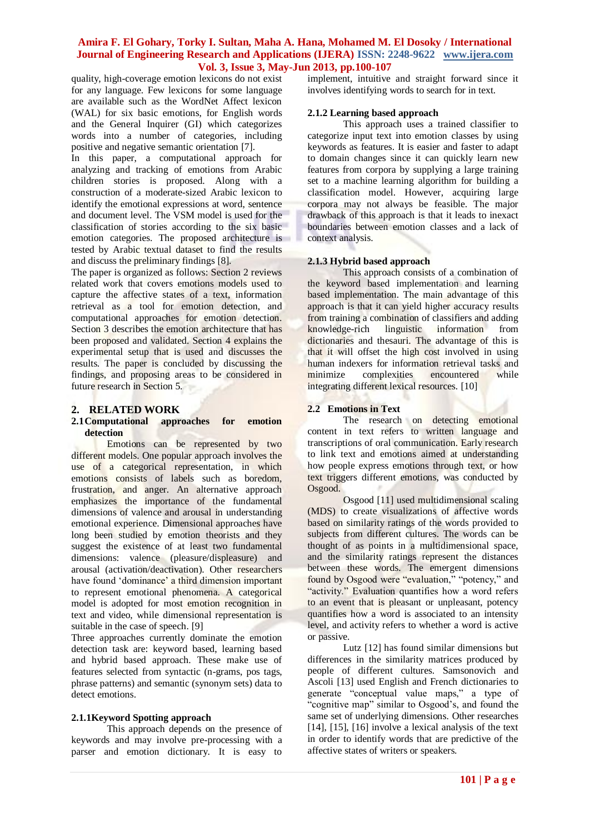quality, high-coverage emotion lexicons do not exist for any language. Few lexicons for some language are available such as the WordNet Affect lexicon (WAL) for six basic emotions, for English words and the General Inquirer (GI) which categorizes words into a number of categories, including positive and negative semantic orientation [7].

In this paper, a computational approach for analyzing and tracking of emotions from Arabic children stories is proposed. Along with a construction of a moderate-sized Arabic lexicon to identify the emotional expressions at word, sentence and document level. The VSM model is used for the classification of stories according to the six basic emotion categories. The proposed architecture is tested by Arabic textual dataset to find the results and discuss the preliminary findings [8].

The paper is organized as follows: Section 2 reviews related work that covers emotions models used to capture the affective states of a text, information retrieval as a tool for emotion detection, and computational approaches for emotion detection. Section 3 describes the emotion architecture that has been proposed and validated. Section 4 explains the experimental setup that is used and discusses the results. The paper is concluded by discussing the findings, and proposing areas to be considered in future research in Section 5.

## **2. RELATED WORK**

#### **2.1Computational approaches for emotion detection**

Emotions can be represented by two different models. One popular approach involves the use of a categorical representation, in which emotions consists of labels such as boredom, frustration, and anger. An alternative approach emphasizes the importance of the fundamental dimensions of valence and arousal in understanding emotional experience. Dimensional approaches have long been studied by emotion theorists and they suggest the existence of at least two fundamental dimensions: valence (pleasure/displeasure) and arousal (activation/deactivation). Other researchers have found 'dominance' a third dimension important to represent emotional phenomena. A categorical model is adopted for most emotion recognition in text and video, while dimensional representation is suitable in the case of speech. [9]

Three approaches currently dominate the emotion detection task are: keyword based, learning based and hybrid based approach. These make use of features selected from syntactic (n-grams, pos tags, phrase patterns) and semantic (synonym sets) data to detect emotions.

## **2.1.1Keyword Spotting approach**

This approach depends on the presence of keywords and may involve pre-processing with a parser and emotion dictionary. It is easy to

implement, intuitive and straight forward since it involves identifying words to search for in text.

## **2.1.2 Learning based approach**

This approach uses a trained classifier to categorize input text into emotion classes by using keywords as features. It is easier and faster to adapt to domain changes since it can quickly learn new features from corpora by supplying a large training set to a machine learning algorithm for building a classification model. However, acquiring large corpora may not always be feasible. The major drawback of this approach is that it leads to inexact boundaries between emotion classes and a lack of context analysis.

## **2.1.3 Hybrid based approach**

This approach consists of a combination of the keyword based implementation and learning based implementation. The main advantage of this approach is that it can yield higher accuracy results from training a combination of classifiers and adding knowledge-rich linguistic information from dictionaries and thesauri. The advantage of this is that it will offset the high cost involved in using human indexers for information retrieval tasks and minimize complexities encountered while integrating different lexical resources. [10]

## **2.2 Emotions in Text**

The research on detecting emotional content in text refers to written language and transcriptions of oral communication. Early research to link text and emotions aimed at understanding how people express emotions through text, or how text triggers different emotions, was conducted by Osgood.

Osgood [11] used multidimensional scaling (MDS) to create visualizations of affective words based on similarity ratings of the words provided to subjects from different cultures. The words can be thought of as points in a multidimensional space, and the similarity ratings represent the distances between these words. The emergent dimensions found by Osgood were "evaluation," "potency," and "activity." Evaluation quantifies how a word refers to an event that is pleasant or unpleasant, potency quantifies how a word is associated to an intensity level, and activity refers to whether a word is active or passive.

Lutz [12] has found similar dimensions but differences in the similarity matrices produced by people of different cultures. Samsonovich and Ascoli [13] used English and French dictionaries to generate "conceptual value maps," a type of "cognitive map" similar to Osgood"s, and found the same set of underlying dimensions. Other researches [14], [15], [16] involve a lexical analysis of the text in order to identify words that are predictive of the affective states of writers or speakers.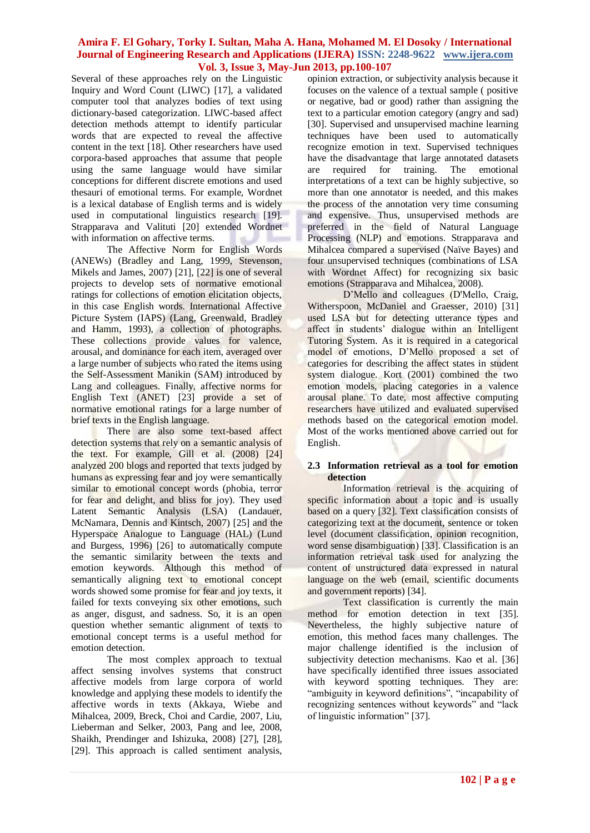Several of these approaches rely on the Linguistic Inquiry and Word Count (LIWC) [17], a validated computer tool that analyzes bodies of text using dictionary-based categorization. LIWC-based affect detection methods attempt to identify particular words that are expected to reveal the affective content in the text [18]. Other researchers have used corpora-based approaches that assume that people using the same language would have similar conceptions for different discrete emotions and used thesauri of emotional terms. For example, Wordnet is a lexical database of English terms and is widely used in computational linguistics research [19]. Strapparava and Valituti [20] extended Wordnet with information on affective terms.

The Affective Norm for English Words (ANEWs) (Bradley and Lang, 1999, Stevenson, Mikels and James, 2007) [21], [22] is one of several projects to develop sets of normative emotional ratings for collections of emotion elicitation objects, in this case English words. International Affective Picture System (IAPS) (Lang, Greenwald, Bradley and Hamm, 1993), a collection of photographs. These collections provide values for valence, arousal, and dominance for each item, averaged over a large number of subjects who rated the items using the Self-Assessment Manikin (SAM) introduced by Lang and colleagues. Finally, affective norms for English Text (ANET) [23] provide a set of normative emotional ratings for a large number of brief texts in the English language.

There are also some text-based affect detection systems that rely on a semantic analysis of the text. For example, Gill et al. (2008) [24] analyzed 200 blogs and reported that texts judged by humans as expressing fear and joy were semantically similar to emotional concept words (phobia, terror for fear and delight, and bliss for joy). They used Latent Semantic Analysis (LSA) (Landauer, McNamara, Dennis and Kintsch, 2007) [25] and the Hyperspace Analogue to Language (HAL) (Lund and Burgess, 1996) [26] to automatically compute the semantic similarity between the texts and emotion keywords. Although this method of semantically aligning text to emotional concept words showed some promise for fear and joy texts, it failed for texts conveying six other emotions, such as anger, disgust, and sadness. So, it is an open question whether semantic alignment of texts to emotional concept terms is a useful method for emotion detection.

The most complex approach to textual affect sensing involves systems that construct affective models from large corpora of world knowledge and applying these models to identify the affective words in texts (Akkaya, Wiebe and Mihalcea, 2009, Breck, Choi and Cardie, 2007, Liu, Lieberman and Selker, 2003, Pang and lee, 2008, Shaikh, Prendinger and Ishizuka, 2008) [27], [28], [29]. This approach is called sentiment analysis,

opinion extraction, or subjectivity analysis because it focuses on the valence of a textual sample ( positive or negative, bad or good) rather than assigning the text to a particular emotion category (angry and sad) [30]. Supervised and unsupervised machine learning techniques have been used to automatically recognize emotion in text. Supervised techniques have the disadvantage that large annotated datasets are required for training. The emotional interpretations of a text can be highly subjective, so more than one annotator is needed, and this makes the process of the annotation very time consuming and expensive. Thus, unsupervised methods are preferred in the field of Natural Language Processing (NLP) and emotions. Strapparava and Mihalcea compared a supervised (Naïve Bayes) and four unsupervised techniques (combinations of LSA with Wordnet Affect) for recognizing six basic emotions (Strapparava and Mihalcea, 2008).

D'Mello and colleagues (D'Mello, Craig, Witherspoon, McDaniel and Graesser, 2010) [31] used LSA but for detecting utterance types and affect in students' dialogue within an Intelligent Tutoring System. As it is required in a categorical model of emotions, D"Mello proposed a set of categories for describing the affect states in student system dialogue. Kort (2001) combined the two emotion models, placing categories in a valence arousal plane. To date, most affective computing researchers have utilized and evaluated supervised methods based on the categorical emotion model. Most of the works mentioned above carried out for English.

#### **2.3 Information retrieval as a tool for emotion detection**

Information retrieval is the acquiring of specific information about a topic and is usually based on a query [32]. Text classification consists of categorizing text at the document, sentence or token level (document classification, opinion recognition, word sense disambiguation) [33]. Classification is an information retrieval task used for analyzing the content of unstructured data expressed in natural language on the web (email, scientific documents and government reports) [34].

Text classification is currently the main method for emotion detection in text [35]. Nevertheless, the highly subjective nature of emotion, this method faces many challenges. The major challenge identified is the inclusion of subjectivity detection mechanisms. Kao et al. [36] have specifically identified three issues associated with keyword spotting techniques. They are: "ambiguity in keyword definitions", "incapability of recognizing sentences without keywords" and "lack of linguistic information" [37].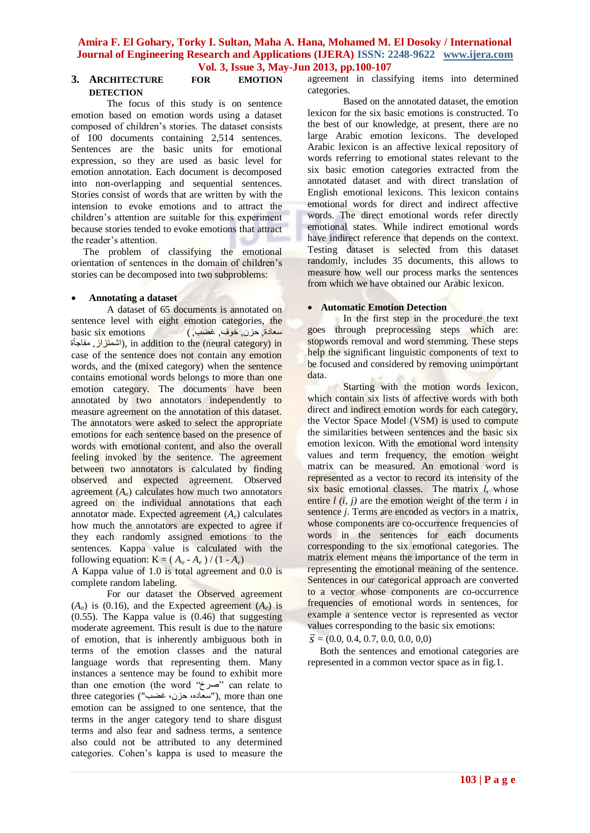## **3. ARCHITECTURE FOR EMOTION DETECTION**

The focus of this study is on sentence emotion based on emotion words using a dataset composed of children"s stories. The dataset consists of 100 documents containing 2,514 sentences. Sentences are the basic units for emotional expression, so they are used as basic level for emotion annotation. Each document is decomposed into non-overlapping and sequential sentences. Stories consist of words that are written by with the intension to evoke emotions and to attract the children"s attention are suitable for this experiment because stories tended to evoke emotions that attract the reader's attention.

The problem of classifying the emotional orientation of sentences in the domain of children"s stories can be decomposed into two subproblems:

## **Annotating a dataset**

A dataset of 65 documents is annotated on sentence level with eight emotion categories, the سعبدة, حسن, خوف, غضب,) emotions six basic اشمئزاز, مفاجأة), in addition to the (neural category) in case of the sentence does not contain any emotion words, and the (mixed category) when the sentence contains emotional words belongs to more than one emotion category. The documents have been annotated by two annotators independently to measure agreement on the annotation of this dataset. The annotators were asked to select the appropriate emotions for each sentence based on the presence of words with emotional content, and also the overall feeling invoked by the sentence. The agreement between two annotators is calculated by finding observed and expected agreement. Observed agreement (*Ao*) calculates how much two annotators agreed on the individual annotations that each annotator made. Expected agreement (*Ae*) calculates how much the annotators are expected to agree if they each randomly assigned emotions to the sentences. Kappa value is calculated with the following equation:  $K = (A_o - A_e) / (1 - A_e)$ 

A Kappa value of 1.0 is total agreement and 0.0 is complete random labeling.

For our dataset the Observed agreement  $(A<sub>o</sub>)$  is (0.16), and the Expected agreement  $(A<sub>e</sub>)$  is  $(0.55)$ . The Kappa value is  $(0.46)$  that suggesting moderate agreement. This result is due to the nature of emotion, that is inherently ambiguous both in terms of the emotion classes and the natural language words that representing them. Many instances a sentence may be found to exhibit more than one emotion (the word "صرخ" can relate to three categories ("سعاده، حزن، غضب"), more than one emotion can be assigned to one sentence, that the terms in the anger category tend to share disgust terms and also fear and sadness terms, a sentence also could not be attributed to any determined categories. Cohen"s kappa is used to measure the

agreement in classifying items into determined categories.

Based on the annotated dataset, the emotion lexicon for the six basic emotions is constructed. To the best of our knowledge, at present, there are no large Arabic emotion lexicons. The developed Arabic lexicon is an affective lexical repository of words referring to emotional states relevant to the six basic emotion categories extracted from the annotated dataset and with direct translation of English emotional lexicons. This lexicon contains emotional words for direct and indirect affective words. The direct emotional words refer directly emotional states. While indirect emotional words have indirect reference that depends on the context. Testing dataset is selected from this dataset randomly, includes 35 documents, this allows to measure how well our process marks the sentences from which we have obtained our Arabic lexicon.

## **Automatic Emotion Detection**

In the first step in the procedure the text goes through preprocessing steps which are: stopwords removal and word stemming. These steps help the significant linguistic components of text to be focused and considered by removing unimportant data.

Starting with the motion words lexicon, which contain six lists of affective words with both direct and indirect emotion words for each category, the Vector Space Model (VSM) is used to compute the similarities between sentences and the basic six emotion lexicon. With the emotional word intensity values and term frequency, the emotion weight matrix can be measured. An emotional word is represented as a vector to record its intensity of the six basic emotional classes. The matrix *l*, whose entire  $l(i, j)$  are the emotion weight of the term  $i$  in sentence *j*. Terms are encoded as vectors in a matrix, whose components are co-occurrence frequencies of words in the sentences for each documents corresponding to the six emotional categories. The matrix element means the importance of the term in representing the emotional meaning of the sentence. Sentences in our categorical approach are converted to a vector whose components are co-occurrence frequencies of emotional words in sentences, for example a sentence vector is represented as vector values corresponding to the basic six emotions:<br> $\vec{r}$  (0.0.0.0.0.0.0.0.0.0.0) *s* = (0*.*0*,* 0*.*4*,* 0*.*7*,* 0*.*0*,* 0*.*0*,* 0*,*0)

 Both the sentences and emotional categories are represented in a common vector space as in fig.1.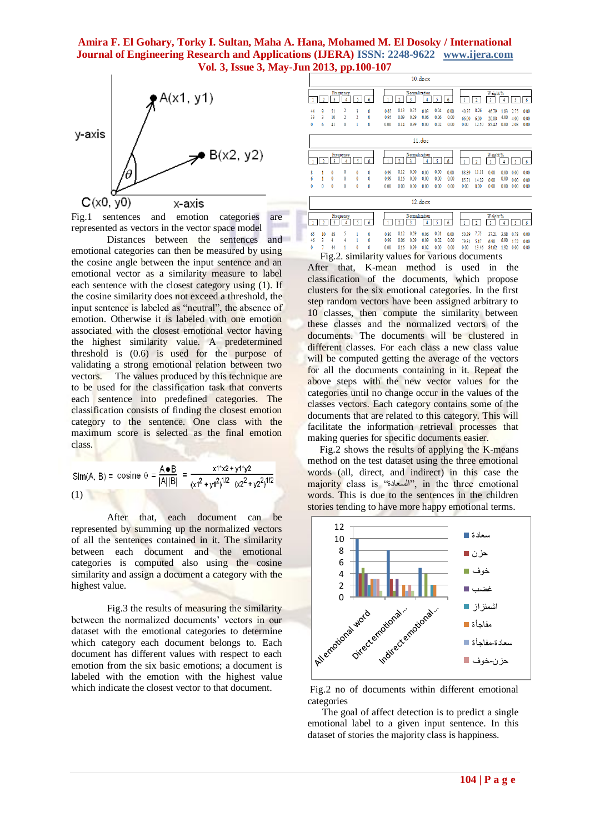

Fig.1 sentences and emotion categories are represented as vectors in the vector space model

Distances between the sentences and emotional categories can then be measured by using the cosine angle between the input sentence and an emotional vector as a similarity measure to label each sentence with the closest category using (1). If the cosine similarity does not exceed a threshold, the input sentence is labeled as "neutral", the absence of emotion. Otherwise it is labeled with one emotion associated with the closest emotional vector having the highest similarity value. A predetermined threshold is (0.6) is used for the purpose of validating a strong emotional relation between two vectors. The values produced by this technique are to be used for the classification task that converts each sentence into predefined categories. The classification consists of finding the closest emotion category to the sentence. One class with the maximum score is selected as the final emotion class.

(1)

After that, each document can be represented by summing up the normalized vectors of all the sentences contained in it. The similarity between each document and the emotional categories is computed also using the cosine similarity and assign a document a category with the highest value.

Fig.3 the results of measuring the similarity between the normalized documents' vectors in our dataset with the emotional categories to determine which category each document belongs to. Each document has different values with respect to each emotion from the six basic emotions; a document is labeled with the emotion with the highest value which indicate the closest vector to that document.

|   |                                    | $10.$ $docx$ |                |                                                              |                          |                        |                      |                      |                                    |                      |                      |                      |                        |                        |                         |                      |                      |                      |
|---|------------------------------------|--------------|----------------|--------------------------------------------------------------|--------------------------|------------------------|----------------------|----------------------|------------------------------------|----------------------|----------------------|----------------------|------------------------|------------------------|-------------------------|----------------------|----------------------|----------------------|
|   | Frequency<br>٩<br>2<br>4<br>٢<br>6 |              |                | Normalization<br>5<br>3<br>$\overline{\mathbf{2}}$<br>4<br>6 |                          |                        |                      |                      | Weight %<br>3<br>6<br>h<br>4       |                      |                      |                      |                        |                        |                         |                      |                      |                      |
|   | 44<br>33<br>0                      | 9<br>3<br>6  | 51<br>10<br>41 | 2<br>$\overline{2}$<br>0                                     | 3<br>$\overline{2}$<br>1 | 0<br>$\mathbf{0}$<br>0 | 0.65<br>0.95<br>0.00 | 0.13<br>0.09<br>0.14 | 0.75<br>0.29<br>0.99               | 0.03<br>0.06<br>0.00 | 0.04<br>0.06<br>0.02 | 0.00<br>0.00<br>0.00 | 40.37<br>66.00<br>0.00 | 8.26<br>6.00<br>12.50  | 46.79<br>20.00<br>85.42 | 1.83<br>4.00<br>0.00 | 2.75<br>4.00<br>2.08 | 0.00<br>0.00<br>0.00 |
|   | $11.$ doc                          |              |                |                                                              |                          |                        |                      |                      |                                    |                      |                      |                      |                        |                        |                         |                      |                      |                      |
|   | Frequency<br>6                     |              |                | Normalization<br>٩<br>6                                      |                          |                        |                      |                      | Weight %<br>3<br>6                 |                      |                      |                      |                        |                        |                         |                      |                      |                      |
|   | 8<br>6<br>Ō                        | 0            | 0<br>0<br>0    | 0<br>0<br>0                                                  | 0<br>0<br>0              | 0<br>$\mathbf{0}$<br>0 | 0.99<br>0.99<br>0.00 | 0.12<br>0.16<br>0.00 | 0.00<br>0.00<br>0.00               | 0.00<br>0.00<br>0.00 | 0.00<br>0.00<br>0.00 | 0.00<br>0.00<br>0.00 | 88.89<br>85.71<br>0.00 | 11.11<br>14.29<br>0.00 | 0.00<br>0.00<br>0.00    | 0.00<br>0.00<br>0.00 | 0.00<br>0.00<br>0.00 | 0.00<br>0.00<br>0.00 |
| ۹ | 12.docx                            |              |                |                                                              |                          |                        |                      |                      |                                    |                      |                      |                      |                        |                        |                         |                      |                      |                      |
|   | Frequency<br>k<br>6<br>٨<br>٩      |              |                | Normalization<br>¢<br>6<br>٠<br>3                            |                          |                        |                      |                      | Weight %<br>3<br>6<br>ŋ.<br>٢<br>4 |                      |                      |                      |                        |                        |                         |                      |                      |                      |
|   | 65<br>46                           | 10<br>3      | 48<br>4        | 5<br>4                                                       |                          | $\mathbf{0}$<br>0      | 0.80<br>0.99         | 0.12<br>0.06         | 0.59<br>0.09                       | 0.06<br>0.09         | 0.01<br>0.02         | 0.00<br>0.00         | 50.39<br>79.31         | 7.75<br>5.17           | 37.21<br>6.90           | 3.88<br>6.90         | 0.78<br>1.72         | 0.00<br>0.00         |

 $\frac{1}{2}$  44 1 0 0 0.00 0.06 0.99 0.02 0.00 0.00 0.00 13.46 84.62 1.92 0.00 0.00

 Fig.2. similarity values for various documents After that, K-mean method is used in the classification of the documents, which propose clusters for the six emotional categories. In the first step random vectors have been assigned arbitrary to 10 classes, then compute the similarity between these classes and the normalized vectors of the documents. The documents will be clustered in different classes. For each class a new class value will be computed getting the average of the vectors for all the documents containing in it. Repeat the above steps with the new vector values for the categories until no change occur in the values of the classes vectors. Each category contains some of the documents that are related to this category. This will facilitate the information retrieval processes that making queries for specific documents easier.

 Fig.2 shows the results of applying the K-means method on the test dataset using the three emotional words (all, direct, and indirect) in this case the majority class is "السعبدة", in the three emotional words. This is due to the sentences in the children stories tending to have more happy emotional terms.



Fig.2 no of documents within different emotional categories

 The goal of affect detection is to predict a single emotional label to a given input sentence. In this dataset of stories the majority class is happiness.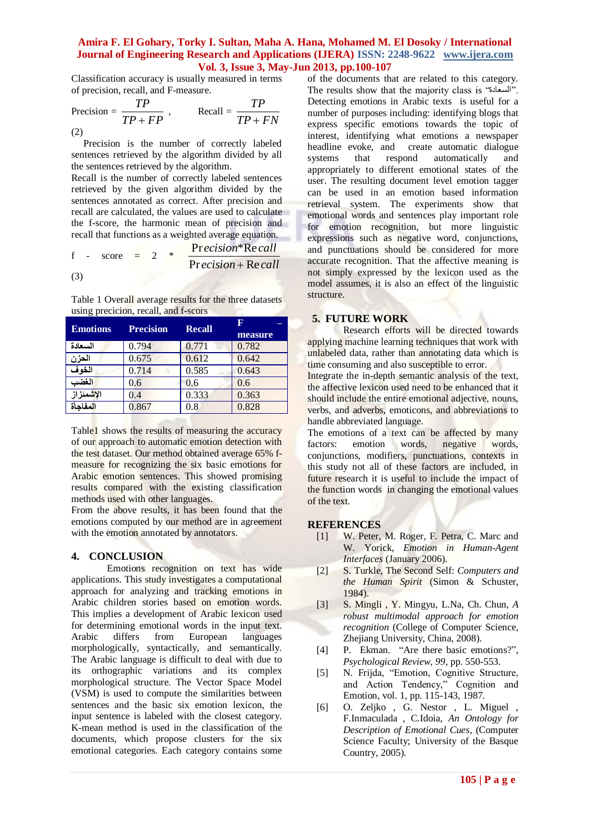Classification accuracy is usually measured in terms of precision, recall, and F-measure.

$$
\text{Precision} = \frac{TP}{TP + FP}, \qquad \text{Recall} = \frac{TP}{TP + FN}
$$
\n(2)

 Precision is the number of correctly labeled sentences retrieved by the algorithm divided by all the sentences retrieved by the algorithm.

Recall is the number of correctly labeled sentences retrieved by the given algorithm divided by the sentences annotated as correct. After precision and recall are calculated, the values are used to calculate the f-score, the harmonic mean of precision and recall that functions as a weighted average equation.

$$
f - score = 2 * Precision*Recall
$$
  
(3) Precision+Recall

Table 1 Overall average results for the three datasets using precicion, recall, and f-scors

| <b>Emotions</b> | <b>Precision</b> | <b>Recall</b> | н       |  |  |  |
|-----------------|------------------|---------------|---------|--|--|--|
|                 |                  |               | measure |  |  |  |
| السعادة         | 0.794            | 0.771         | 0.782   |  |  |  |
| الحزن           | 0.675            | 0.612         | 0.642   |  |  |  |
| الخوف           | 0.714            | 0.585         | 0.643   |  |  |  |
| الغضب           | 0.6              | 0.6           | 0.6     |  |  |  |
| الإشمئزاز       | 0.4              | 0.333         | 0.363   |  |  |  |
| المفاحأة        | 0.867            | 0.8           | 0.828   |  |  |  |

Table1 shows the results of measuring the accuracy of our approach to automatic emotion detection with the test dataset. Our method obtained average 65% fmeasure for recognizing the six basic emotions for Arabic emotion sentences. This showed promising results compared with the existing classification methods used with other languages.

From the above results, it has been found that the emotions computed by our method are in agreement with the emotion annotated by annotators.

## **4. CONCLUSION**

Emotions recognition on text has wide applications. This study investigates a computational approach for analyzing and tracking emotions in Arabic children stories based on emotion words. This implies a development of Arabic lexicon used for determining emotional words in the input text. Arabic differs from European languages morphologically, syntactically, and semantically. The Arabic language is difficult to deal with due to its orthographic variations and its complex morphological structure. The Vector Space Model (VSM) is used to compute the similarities between sentences and the basic six emotion lexicon, the input sentence is labeled with the closest category. K-mean method is used in the classification of the documents, which propose clusters for the six emotional categories. Each category contains some

of the documents that are related to this category. The results show that the majority class is "السعبدة". Detecting emotions in Arabic texts is useful for a number of purposes including: identifying blogs that express specific emotions towards the topic of interest, identifying what emotions a newspaper headline evoke, and create automatic dialogue systems that respond automatically and appropriately to different emotional states of the user. The resulting document level emotion tagger can be used in an emotion based information retrieval system. The experiments show that emotional words and sentences play important role for emotion recognition, but more linguistic expressions such as negative word, conjunctions, and punctuations should be considered for more accurate recognition. That the affective meaning is not simply expressed by the lexicon used as the model assumes, it is also an effect of the linguistic structure.

## **5. FUTURE WORK**

Research efforts will be directed towards applying machine learning techniques that work with unlabeled data, rather than annotating data which is time consuming and also susceptible to error.

Integrate the in-depth semantic analysis of the text, the affective lexicon used need to be enhanced that it should include the entire emotional adjective, nouns, verbs, and adverbs, emoticons, and abbreviations to handle abbreviated language.

The emotions of a text can be affected by many factors: emotion words, negative words, conjunctions, modifiers, punctuations, contexts in this study not all of these factors are included, in future research it is useful to include the impact of the function words in changing the emotional values of the text.

## **REFERENCES**

- [1] W. Peter, M. Roger, F. Petra, C. Marc and W. Yorick, *Emotion in Human-Agent Interfaces* (January 2006).
- [2] S. Turkle, The Second Self: *Computers and the Human Spirit* (Simon & Schuster, 1984).
- [3] S. Mingli , Y. Mingyu, L.Na, Ch. Chun, *A robust multimodal approach for emotion recognition* (College of Computer Science, Zhejiang University, China, 2008).
- [4] P. Ekman. "Are there basic emotions?", *Psychological Review, 99*, pp. 550-553.
- [5] N. Frijda, "Emotion, Cognitive Structure, and Action Tendency," Cognition and Emotion, vol. 1, pp. 115-143, 1987.
- [6] O. Zeljko , G. Nestor , L. Miguel , F.Inmaculada , C.Idoia, *An Ontology for Description of Emotional Cues*, (Computer Science Faculty; University of the Basque Country, 2005).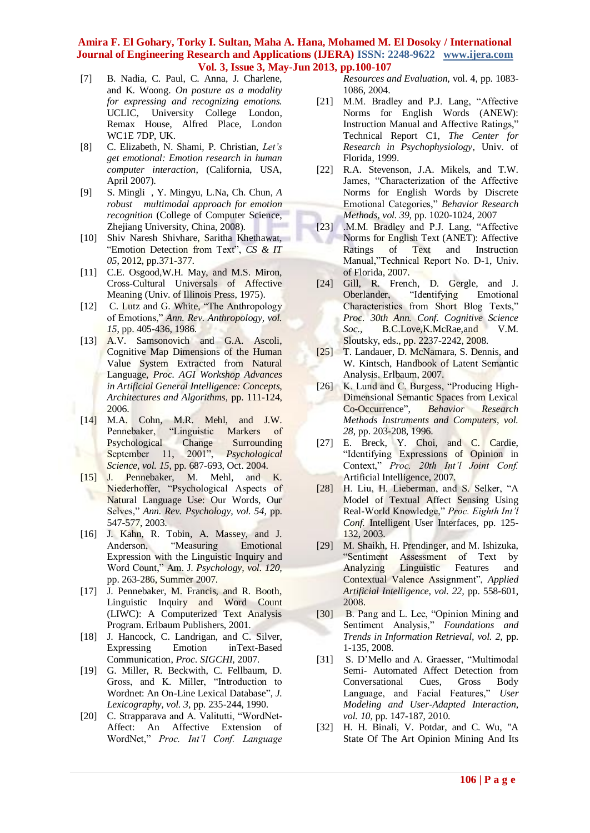- [7] B. Nadia, C. Paul, C. Anna, J. Charlene, and K. Woong. *On posture as a modality for expressing and recognizing emotions.* UCLIC, University College London, Remax House, Alfred Place, London WC1E 7DP, UK.
- [8] C. Elizabeth, N. Shami, P. Christian, *Let's get emotional: Emotion research in human computer interaction*, (California, USA, April 2007).
- [9] S. Mingli , Y. Mingyu, L.Na, Ch. Chun, *A robust multimodal approach for emotion recognition* (College of Computer Science, Zhejiang University, China, 2008).
- [10] Shiv Naresh Shivhare, Saritha Khethawat, "Emotion Detection from Text", *CS & IT 05*, 2012, pp.371-377.
- [11] C.E. Osgood, W.H. May, and M.S. Miron, Cross-Cultural Universals of Affective Meaning (Univ. of Illinois Press, 1975).
- [12] C. Lutz and G. White, "The Anthropology of Emotions," *Ann. Rev. Anthropology, vol. 15*, pp. 405-436, 1986.
- [13] A.V. Samsonovich and G.A. Ascoli, Cognitive Map Dimensions of the Human Value System Extracted from Natural Language, *Proc. AGI Workshop Advances in Artificial General Intelligence: Concepts, Architectures and Algorithms,* pp. 111-124, 2006.
- [14] M.A. Cohn, M.R. Mehl, and J.W. Pennebaker, "Linguistic Markers of Psychological Change Surrounding September 11, 2001", *Psychological Science, vol. 15,* pp. 687-693, Oct. 2004.
- [15] J. Pennebaker, M. Mehl, and K. Niederhoffer, "Psychological Aspects of Natural Language Use: Our Words, Our Selves," *Ann. Rev. Psychology, vol. 54,* pp. 547-577, 2003.
- [16] J. Kahn, R. Tobin, A. Massey, and J. Anderson, "Measuring Emotional Expression with the Linguistic Inquiry and Word Count," Am. J. *Psychology, vol. 120,*  pp. 263-286, Summer 2007.
- [17] J. Pennebaker, M. Francis, and R. Booth, Linguistic Inquiry and Word Count (LIWC): A Computerized Text Analysis Program. Erlbaum Publishers, 2001.
- [18] J. Hancock, C. Landrigan, and C. Silver, Expressing Emotion inText-Based Communication, *Proc. SIGCHI,* 2007.
- [19] G. Miller, R. Beckwith, C. Fellbaum, D. Gross, and K. Miller, "Introduction to Wordnet: An On-Line Lexical Database", *J. Lexicography, vol. 3,* pp. 235-244, 1990.
- [20] C. Strapparava and A. Valitutti, "WordNet-Affect: An Affective Extension of WordNet," *Proc. Int'l Conf. Language*

*Resources and Evaluation,* vol. 4, pp. 1083- 1086, 2004.

- [21] M.M. Bradley and P.J. Lang, "Affective Norms for English Words (ANEW): Instruction Manual and Affective Ratings," Technical Report C1, *The Center for Research in Psychophysiology*, Univ. of Florida, 1999.
- [22] R.A. Stevenson, J.A. Mikels, and T.W. James, "Characterization of the Affective Norms for English Words by Discrete Emotional Categories," *Behavior Research Methods, vol. 39,* pp. 1020-1024, 2007
- [23] .M.M. Bradley and P.J. Lang, "Affective Norms for English Text (ANET): Affective Ratings of Text and Instruction Manual,"Technical Report No. D-1, Univ. of Florida, 2007.
- [24] Gill, R. French, D. Gergle, and J. Oberlander, "Identifying Emotional Characteristics from Short Blog Texts," *Proc. 30th Ann. Conf. Cognitive Science Soc.,* B.C.Love,K.McRae,and V.M. Sloutsky, eds., pp. 2237-2242, 2008.
- [25] T. Landauer, D. McNamara, S. Dennis, and W. Kintsch, Handbook of Latent Semantic Analysis. Erlbaum, 2007.
- [26] K. Lund and C. Burgess, "Producing High-Dimensional Semantic Spaces from Lexical Co-Occurrence", *Behavior Research Methods Instruments and Computers, vol. 28*, pp. 203-208, 1996.
- [27] E. Breck, Y. Choi, and C. Cardie, "Identifying Expressions of Opinion in Context," *Proc. 20th Int'l Joint Conf.*  Artificial Intelligence, 2007.
- [28] H. Liu, H. Lieberman, and S. Selker, "A Model of Textual Affect Sensing Using Real-World Knowledge," *Proc. Eighth Int'l Conf.* Intelligent User Interfaces, pp. 125- 132, 2003.
- [29] M. Shaikh, H. Prendinger, and M. Ishizuka, "Sentiment Assessment of Text by Analyzing Linguistic Features and Contextual Valence Assignment", *Applied Artificial Intelligence, vol. 22,* pp. 558-601, 2008.
- [30] B. Pang and L. Lee, "Opinion Mining and Sentiment Analysis," *Foundations and Trends in Information Retrieval, vol. 2,* pp. 1-135, 2008.
- [31] S. D'Mello and A. Graesser, "Multimodal Semi- Automated Affect Detection from Conversational Cues, Gross Body Language, and Facial Features," *User Modeling and User-Adapted Interaction, vol. 10,* pp. 147-187, 2010.
- [32] H. H. Binali, V. Potdar, and C. Wu, "A State Of The Art Opinion Mining And Its